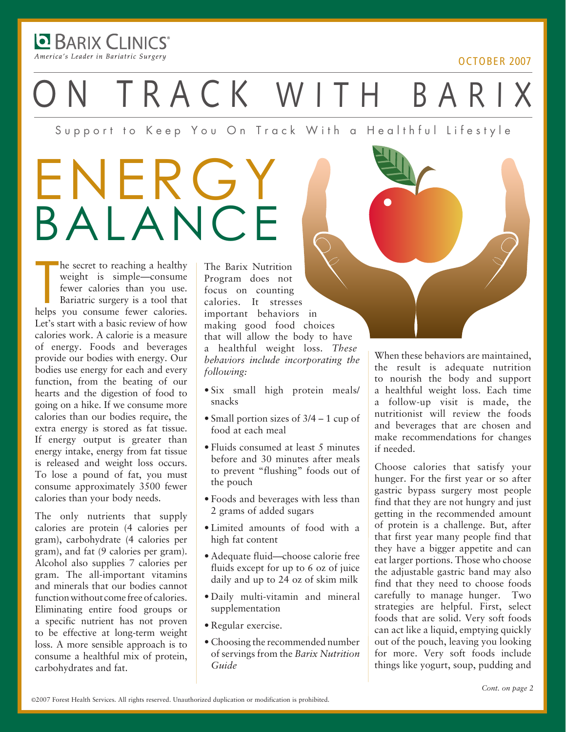**DE BARIX CLINICS** America's Leader in Bariatric Surgery

#### october 2007

TRACK WITH BARI

Support to Keep You On Track With a Healthful Lifestyle

## ENERGY balance

he secret to reaching a healthy<br>weight is simple—consume<br>fewer calories than you use.<br>Bariatric surgery is a tool that<br>helps you consume fewer calories. he secret to reaching a healthy weight is simple—consume fewer calories than you use. Bariatric surgery is a tool that Let's start with a basic review of how calories work. A calorie is a measure of energy. Foods and beverages provide our bodies with energy. Our bodies use energy for each and every function, from the beating of our hearts and the digestion of food to going on a hike. If we consume more calories than our bodies require, the extra energy is stored as fat tissue. If energy output is greater than energy intake, energy from fat tissue is released and weight loss occurs. To lose a pound of fat, you must consume approximately 3500 fewer calories than your body needs.

The only nutrients that supply calories are protein (4 calories per gram), carbohydrate (4 calories per gram), and fat (9 calories per gram). Alcohol also supplies 7 calories per gram. The all-important vitamins and minerals that our bodies cannot function without come free of calories. Eliminating entire food groups or a specific nutrient has not proven to be effective at long-term weight loss. A more sensible approach is to consume a healthful mix of protein, carbohydrates and fat.

The Barix Nutrition Program does not focus on counting calories. It stresses important behaviors in making good food choices that will allow the body to have a healthful weight loss. *These behaviors include incorporating the following:*

- Six small high protein meals/ snacks
- Small portion sizes of 3/4 1 cup of food at each meal
- Fluids consumed at least 5 minutes before and 30 minutes after meals to prevent "flushing" foods out of the pouch
- Foods and beverages with less than 2 grams of added sugars
- Limited amounts of food with a high fat content
- Adequate fluid—choose calorie free fluids except for up to 6 oz of juice daily and up to 24 oz of skim milk
- Daily multi-vitamin and mineral supplementation
- Regular exercise.
- Choosing the recommended number of servings from the *Barix Nutrition Guide*

When these behaviors are maintained, the result is adequate nutrition to nourish the body and support a healthful weight loss. Each time a follow-up visit is made, the nutritionist will review the foods and beverages that are chosen and make recommendations for changes if needed.

Choose calories that satisfy your hunger. For the first year or so after gastric bypass surgery most people find that they are not hungry and just getting in the recommended amount of protein is a challenge. But, after that first year many people find that they have a bigger appetite and can eat larger portions. Those who choose the adjustable gastric band may also find that they need to choose foods carefully to manage hunger. Two strategies are helpful. First, select foods that are solid. Very soft foods can act like a liquid, emptying quickly out of the pouch, leaving you looking for more. Very soft foods include things like yogurt, soup, pudding and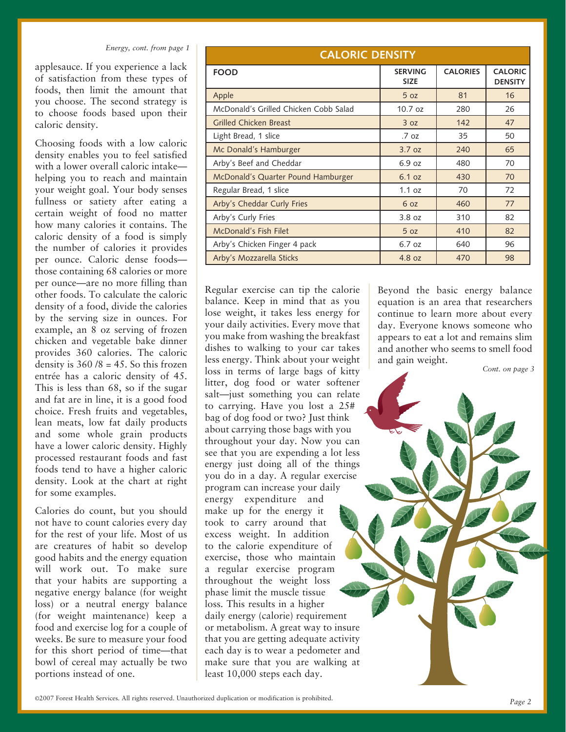applesauce. If you experience a lack of satisfaction from these types of foods, then limit the amount that you choose. The second strategy is to choose foods based upon their caloric density.

Choosing foods with a low caloric density enables you to feel satisfied with a lower overall caloric intake helping you to reach and maintain your weight goal. Your body senses fullness or satiety after eating a certain weight of food no matter how many calories it contains. The caloric density of a food is simply the number of calories it provides per ounce. Caloric dense foods those containing 68 calories or more per ounce—are no more filling than other foods. To calculate the caloric density of a food, divide the calories by the serving size in ounces. For example, an 8 oz serving of frozen chicken and vegetable bake dinner provides 360 calories. The caloric density is  $360/8 = 45$ . So this frozen entrée has a caloric density of 45. This is less than 68, so if the sugar and fat are in line, it is a good food choice. Fresh fruits and vegetables, lean meats, low fat daily products and some whole grain products have a lower caloric density. Highly processed restaurant foods and fast foods tend to have a higher caloric density. Look at the chart at right for some examples.

Calories do count, but you should not have to count calories every day for the rest of your life. Most of us are creatures of habit so develop good habits and the energy equation will work out. To make sure that your habits are supporting a negative energy balance (for weight loss) or a neutral energy balance (for weight maintenance) keep a food and exercise log for a couple of weeks. Be sure to measure your food for this short period of time—that bowl of cereal may actually be two portions instead of one.

| <b>CALORIC DENSITY</b>                |                               |                 |                                  |  |  |  |
|---------------------------------------|-------------------------------|-----------------|----------------------------------|--|--|--|
| <b>FOOD</b>                           | <b>SERVING</b><br><b>SIZE</b> | <b>CALORIES</b> | <b>CALORIC</b><br><b>DENSITY</b> |  |  |  |
| Apple                                 | 5 <sub>oz</sub>               | 81              | 16                               |  |  |  |
| McDonald's Grilled Chicken Cobb Salad | $10.7$ oz                     | 280             | 26                               |  |  |  |
| <b>Grilled Chicken Breast</b>         | 3 oz                          | 142             | 47                               |  |  |  |
| Light Bread, 1 slice                  | .7 oz                         | 35              | 50                               |  |  |  |
| Mc Donald's Hamburger                 | 3.7 oz                        | 240             | 65                               |  |  |  |
| Arby's Beef and Cheddar               | 6.9 oz                        | 480             | 70                               |  |  |  |
| McDonald's Quarter Pound Hamburger    | 6.1 oz                        | 430             | 70                               |  |  |  |
| Regular Bread, 1 slice                | 1.1 oz                        | 70              | 72                               |  |  |  |
| Arby's Cheddar Curly Fries            | 6 oz                          | 460             | 77                               |  |  |  |
| Arby's Curly Fries                    | 3.8 oz                        | 310             | 82                               |  |  |  |
| <b>McDonald's Fish Filet</b>          | 5 <sub>oz</sub>               | 410             | 82                               |  |  |  |
| Arby's Chicken Finger 4 pack          | 6.7 oz                        | 640             | 96                               |  |  |  |
| Arby's Mozzarella Sticks              | 4.8 oz                        | 470             | 98                               |  |  |  |

Regular exercise can tip the calorie balance. Keep in mind that as you lose weight, it takes less energy for your daily activities. Every move that you make from washing the breakfast dishes to walking to your car takes less energy. Think about your weight loss in terms of large bags of kitty litter, dog food or water softener salt—just something you can relate to carrying. Have you lost a 25# bag of dog food or two? Just think about carrying those bags with you throughout your day. Now you can see that you are expending a lot less energy just doing all of the things you do in a day. A regular exercise program can increase your daily energy expenditure and make up for the energy it took to carry around that excess weight. In addition to the calorie expenditure of exercise, those who maintain a regular exercise program throughout the weight loss phase limit the muscle tissue loss. This results in a higher daily energy (calorie) requirement or metabolism. A great way to insure that you are getting adequate activity each day is to wear a pedometer and make sure that you are walking at least 10,000 steps each day.

Beyond the basic energy balance equation is an area that researchers continue to learn more about every day. Everyone knows someone who appears to eat a lot and remains slim and another who seems to smell food and gain weight.

*Cont. on page 3*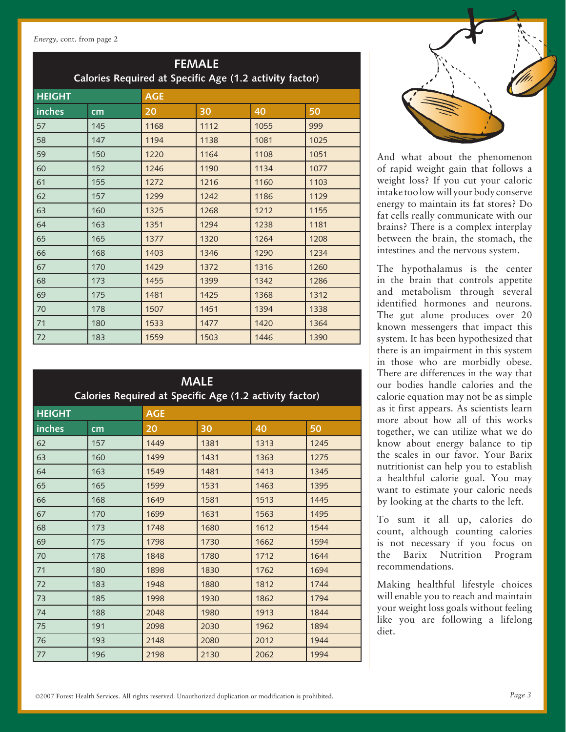*Energy,* cont. from page 2

| <b>FEMALE</b><br>Calories Required at Specific Age (1.2 activity factor) |     |            |      |      |      |  |  |
|--------------------------------------------------------------------------|-----|------------|------|------|------|--|--|
| <b>HEIGHT</b>                                                            |     | <b>AGE</b> |      |      |      |  |  |
| inches                                                                   | cm  | 20         | 30   | 40   | 50   |  |  |
| 57                                                                       | 145 | 1168       | 1112 | 1055 | 999  |  |  |
| 58                                                                       | 147 | 1194       | 1138 | 1081 | 1025 |  |  |
| 59                                                                       | 150 | 1220       | 1164 | 1108 | 1051 |  |  |
| 60                                                                       | 152 | 1246       | 1190 | 1134 | 1077 |  |  |
| 61                                                                       | 155 | 1272       | 1216 | 1160 | 1103 |  |  |
| 62                                                                       | 157 | 1299       | 1242 | 1186 | 1129 |  |  |
| 63                                                                       | 160 | 1325       | 1268 | 1212 | 1155 |  |  |
| 64                                                                       | 163 | 1351       | 1294 | 1238 | 1181 |  |  |
| 65                                                                       | 165 | 1377       | 1320 | 1264 | 1208 |  |  |
| 66                                                                       | 168 | 1403       | 1346 | 1290 | 1234 |  |  |
| 67                                                                       | 170 | 1429       | 1372 | 1316 | 1260 |  |  |
| 68                                                                       | 173 | 1455       | 1399 | 1342 | 1286 |  |  |
| 69                                                                       | 175 | 1481       | 1425 | 1368 | 1312 |  |  |
| 70                                                                       | 178 | 1507       | 1451 | 1394 | 1338 |  |  |
| 71                                                                       | 180 | 1533       | 1477 | 1420 | 1364 |  |  |
| 72                                                                       | 183 | 1559       | 1503 | 1446 | 1390 |  |  |

| <b>MALE</b><br>Calories Required at Specific Age (1.2 activity factor) |     |            |      |      |      |  |  |
|------------------------------------------------------------------------|-----|------------|------|------|------|--|--|
| <b>HEIGHT</b>                                                          |     | <b>AGE</b> |      |      |      |  |  |
| inches                                                                 | cm  | 20         | 30   | 40   | 50   |  |  |
| 62                                                                     | 157 | 1449       | 1381 | 1313 | 1245 |  |  |
| 63                                                                     | 160 | 1499       | 1431 | 1363 | 1275 |  |  |
| 64                                                                     | 163 | 1549       | 1481 | 1413 | 1345 |  |  |
| 65                                                                     | 165 | 1599       | 1531 | 1463 | 1395 |  |  |
| 66                                                                     | 168 | 1649       | 1581 | 1513 | 1445 |  |  |
| 67                                                                     | 170 | 1699       | 1631 | 1563 | 1495 |  |  |
| 68                                                                     | 173 | 1748       | 1680 | 1612 | 1544 |  |  |
| 69                                                                     | 175 | 1798       | 1730 | 1662 | 1594 |  |  |
| 70                                                                     | 178 | 1848       | 1780 | 1712 | 1644 |  |  |
| 71                                                                     | 180 | 1898       | 1830 | 1762 | 1694 |  |  |
| 72                                                                     | 183 | 1948       | 1880 | 1812 | 1744 |  |  |
| 73                                                                     | 185 | 1998       | 1930 | 1862 | 1794 |  |  |
| 74                                                                     | 188 | 2048       | 1980 | 1913 | 1844 |  |  |
| 75                                                                     | 191 | 2098       | 2030 | 1962 | 1894 |  |  |
| 76                                                                     | 193 | 2148       | 2080 | 2012 | 1944 |  |  |
| 77                                                                     | 196 | 2198       | 2130 | 2062 | 1994 |  |  |



And what about the phenomenon of rapid weight gain that follows a weight loss? If you cut your caloric intake too low will your body conserve energy to maintain its fat stores? Do fat cells really communicate with our brains? There is a complex interplay between the brain, the stomach, the intestines and the nervous system.

The hypothalamus is the center in the brain that controls appetite and metabolism through several identified hormones and neurons. The gut alone produces over 20 known messengers that impact this system. It has been hypothesized that there is an impairment in this system in those who are morbidly obese. There are differences in the way that our bodies handle calories and the calorie equation may not be as simple as it first appears. As scientists learn more about how all of this works together, we can utilize what we do know about energy balance to tip the scales in our favor. Your Barix nutritionist can help you to establish a healthful calorie goal. You may want to estimate your caloric needs by looking at the charts to the left.

To sum it all up, calories do count, although counting calories is not necessary if you focus on the Barix Nutrition Program recommendations.

Making healthful lifestyle choices will enable you to reach and maintain your weight loss goals without feeling like you are following a lifelong diet.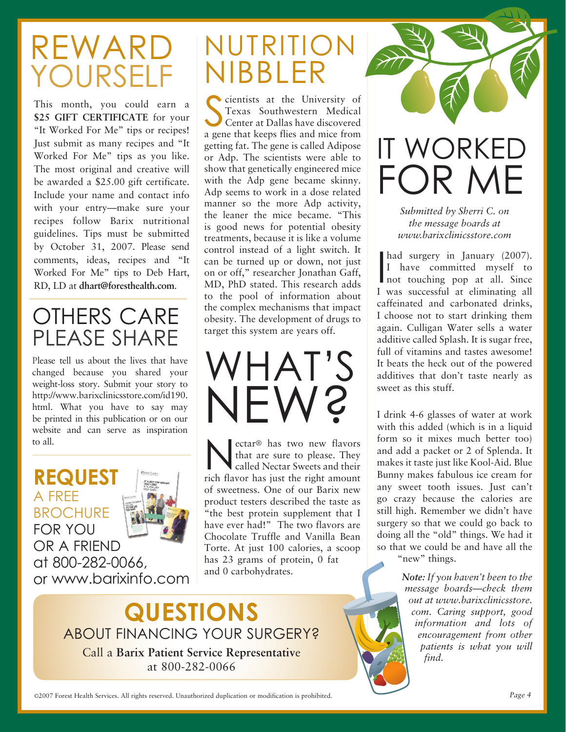## Reward Yourself

This month, you could earn a \$25 GIFT CERTIFICATE for your "It Worked For Me" tips or recipes! Just submit as many recipes and "It Worked For Me" tips as you like. The most original and creative will be awarded a \$25.00 gift certificate. Include your name and contact info with your entry—make sure your recipes follow Barix nutritional guidelines. Tips must be submitted by October 31, 2007. Please send comments, ideas, recipes and "It Worked For Me" tips to Deb Hart, RD, LD at **dhart@foresthealth.com**.

### OTHERS CARE PLEASE SHARE

Please tell us about the lives that have changed because you shared your weight-loss story. Submit your story to http://www.barixclinicsstore.com/id190. html. What you have to say may be printed in this publication or on our website and can serve as inspiration to all.



## nutrition nibbler

Constitution and the University of Texas Southwestern Medical<br>Center at Dallas have discovered<br>a gene that keeps flies and mice from cientists at the University of Texas Southwestern Medical Center at Dallas have discovered getting fat. The gene is called Adipose or Adp. The scientists were able to show that genetically engineered mice with the Adp gene became skinny. Adp seems to work in a dose related manner so the more Adp activity, the leaner the mice became. "This is good news for potential obesity treatments, because it is like a volume control instead of a light switch. It can be turned up or down, not just on or off," researcher Jonathan Gaff, MD, PhD stated. This research adds to the pool of information about the complex mechanisms that impact obesity. The development of drugs to target this system are years off.

what's new?

ectar® has two new flavors<br>that are sure to please. They<br>called Nectar Sweets and their that are sure to please. They called Nectar Sweets and their rich flavor has just the right amount of sweetness. One of our Barix new product testers described the taste as "the best protein supplement that I have ever had!" The two flavors are Chocolate Truffle and Vanilla Bean Torte. At just 100 calories, a scoop has 23 grams of protein, 0 fat and 0 carbohydrates.

**Questions** ABOUT FINANCING YOUR SURGERY? Call a **Barix Patient Service Representativ**e at 800-282-0066



had surgery in January (2007).<br>
I have committed myself to<br>
not touching pop at all. Since had surgery in January (2007). I have committed myself to I was successful at eliminating all caffeinated and carbonated drinks, I choose not to start drinking them again. Culligan Water sells a water additive called Splash. It is sugar free, full of vitamins and tastes awesome! It beats the heck out of the powered additives that don't taste nearly as sweet as this stuff.

*www.barixclinicsstore.com*

I drink 4-6 glasses of water at work with this added (which is in a liquid form so it mixes much better too) and add a packet or 2 of Splenda. It makes it taste just like Kool-Aid. Blue Bunny makes fabulous ice cream for any sweet tooth issues. Just can't go crazy because the calories are still high. Remember we didn't have surgery so that we could go back to doing all the "old" things. We had it so that we could be and have all the "new" things.

> *Note: If you haven't been to the message boards—check them out at www.barixclinicsstore. com. Caring support, good information and lots of encouragement from other patients is what you will find.*

©2007 Forest Health Services. All rights reserved. Unauthorized duplication or modification is prohibited. *Page 4*